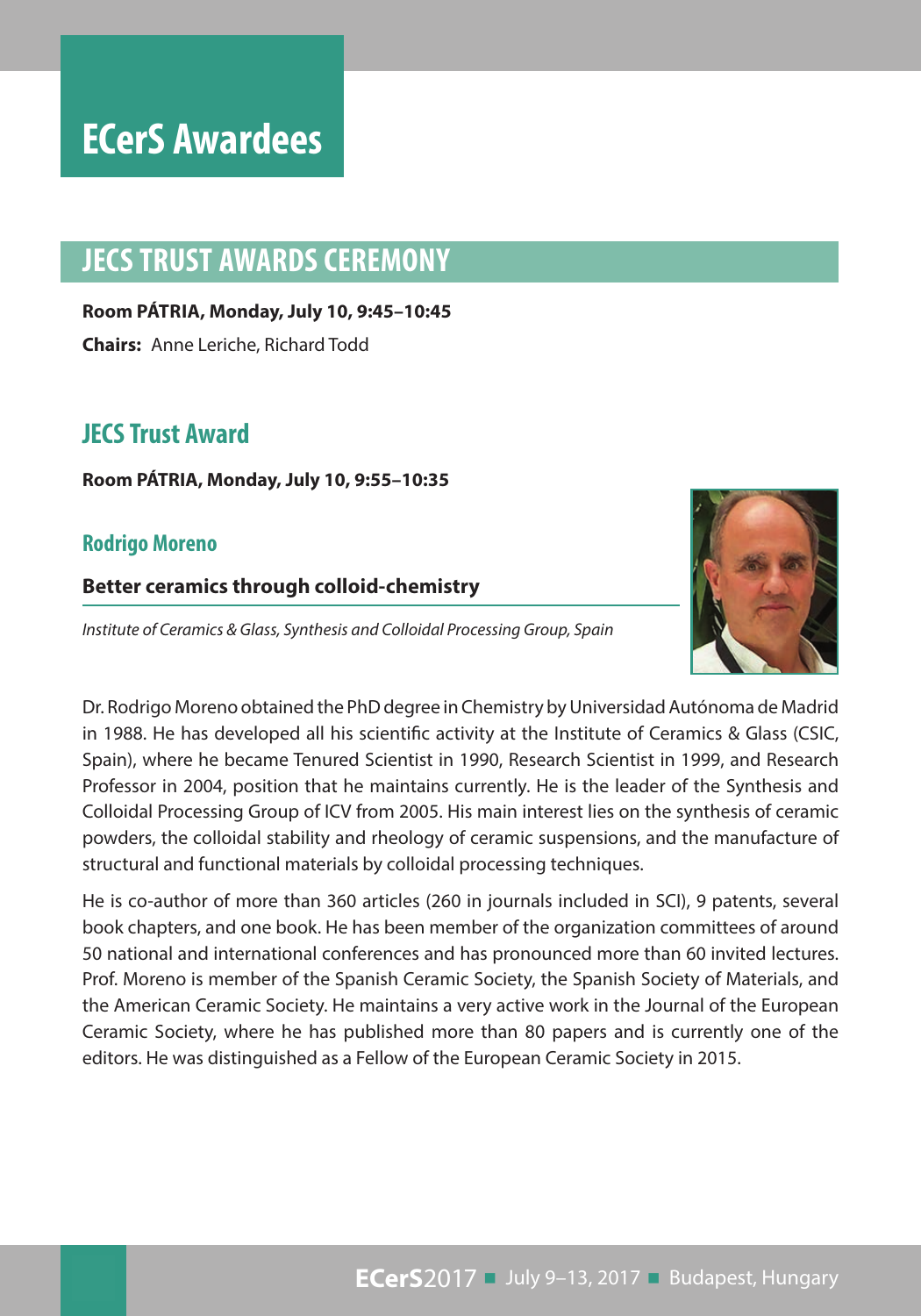## **JECS Trust Awards Ceremony JECS TRUST AWARDS CEREMONY**

**Room PÁTRIA, Monday, July 10, 9:45–10:45**

**Chairs:** Anne Leriche, Richard Todd

## **JECS Trust Award**

**Room PÁTRIA, Monday, July 10, 9:55–10:35** 

#### **Rodrigo Moreno**

#### **Better ceramics through colloid-chemistry**

*Institute of Ceramics & Glass, Synthesis and Colloidal Processing Group, Spain*

Dr. Rodrigo Moreno obtained the PhD degree in Chemistry by Universidad Autónoma de Madrid in 1988. He has developed all his scientific activity at the Institute of Ceramics & Glass (CSIC, Spain), where he became Tenured Scientist in 1990, Research Scientist in 1999, and Research Professor in 2004, position that he maintains currently. He is the leader of the Synthesis and Colloidal Processing Group of ICV from 2005. His main interest lies on the synthesis of ceramic powders, the colloidal stability and rheology of ceramic suspensions, and the manufacture of structural and functional materials by colloidal processing techniques.

He is co-author of more than 360 articles (260 in journals included in SCI), 9 patents, several book chapters, and one book. He has been member of the organization committees of around 50 national and international conferences and has pronounced more than 60 invited lectures. Prof. Moreno is member of the Spanish Ceramic Society, the Spanish Society of Materials, and the American Ceramic Society. He maintains a very active work in the Journal of the European Ceramic Society, where he has published more than 80 papers and is currently one of the editors. He was distinguished as a Fellow of the European Ceramic Society in 2015.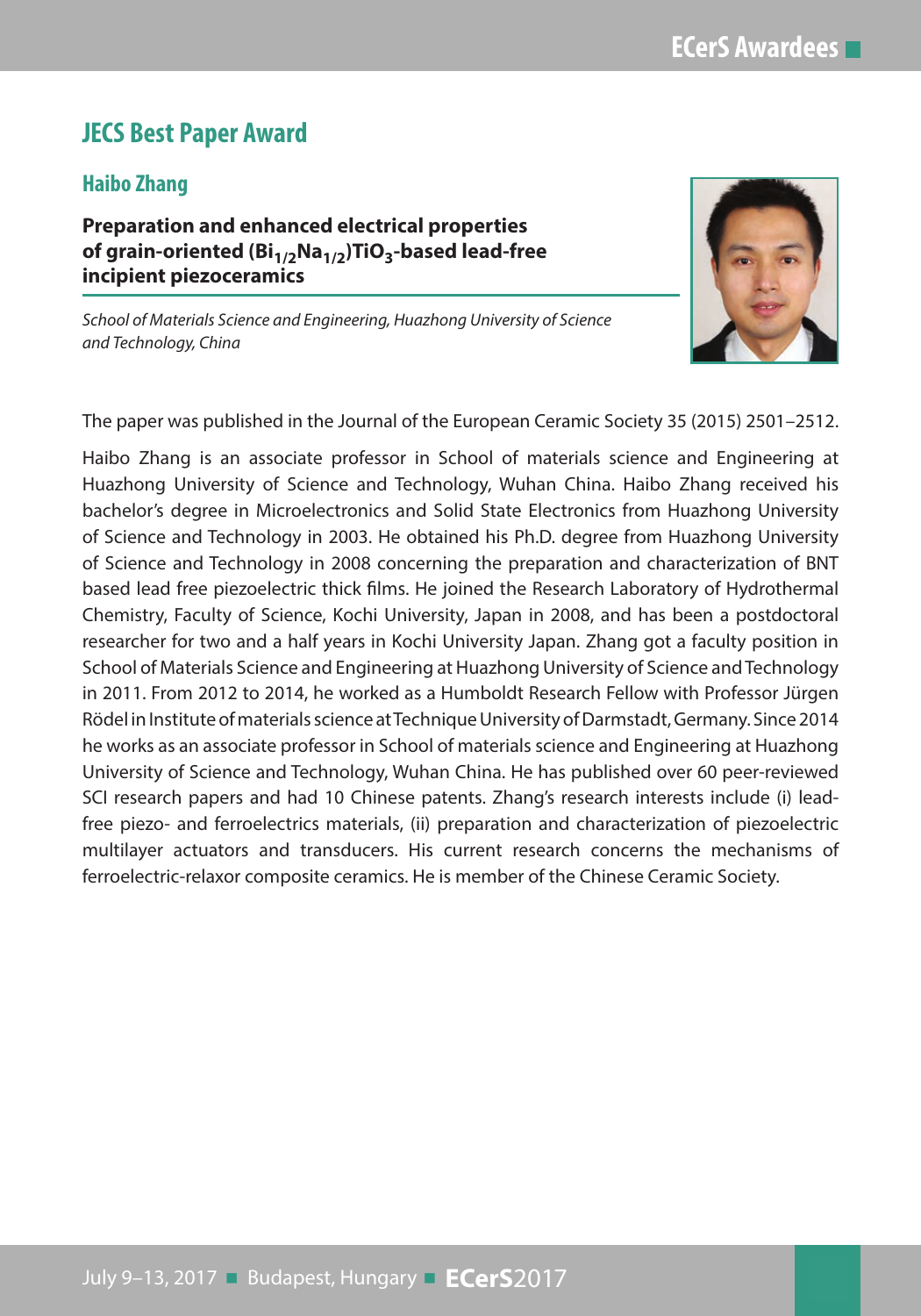## **JECS Best Paper Award**

### **Haibo Zhang**

**Preparation and enhanced electrical properties**  of grain-oriented (Bi<sub>1/2</sub>Na<sub>1/2</sub>)TiO<sub>3</sub>-based lead-free **incipient piezoceramics**

*School of Materials Science and Engineering, Huazhong University of Science and Technology, China*



The paper was published in the Journal of the European Ceramic Society 35 (2015) 2501–2512.

Haibo Zhang is an associate professor in School of materials science and Engineering at Huazhong University of Science and Technology, Wuhan China. Haibo Zhang received his bachelor's degree in Microelectronics and Solid State Electronics from Huazhong University of Science and Technology in 2003. He obtained his Ph.D. degree from Huazhong University of Science and Technology in 2008 concerning the preparation and characterization of BNT based lead free piezoelectric thick films. He joined the Research Laboratory of Hydrothermal Chemistry, Faculty of Science, Kochi University, Japan in 2008, and has been a postdoctoral researcher for two and a half years in Kochi University Japan. Zhang got a faculty position in School of Materials Science and Engineering at Huazhong University of Science and Technology in 2011. From 2012 to 2014, he worked as a Humboldt Research Fellow with Professor Jürgen Rödel in Institute of materials science at Technique University of Darmstadt, Germany. Since 2014 he works as an associate professor in School of materials science and Engineering at Huazhong University of Science and Technology, Wuhan China. He has published over 60 peer-reviewed SCI research papers and had 10 Chinese patents. Zhang's research interests include (i) leadfree piezo- and ferroelectrics materials, (ii) preparation and characterization of piezoelectric multilayer actuators and transducers. His current research concerns the mechanisms of ferroelectric-relaxor composite ceramics. He is member of the Chinese Ceramic Society.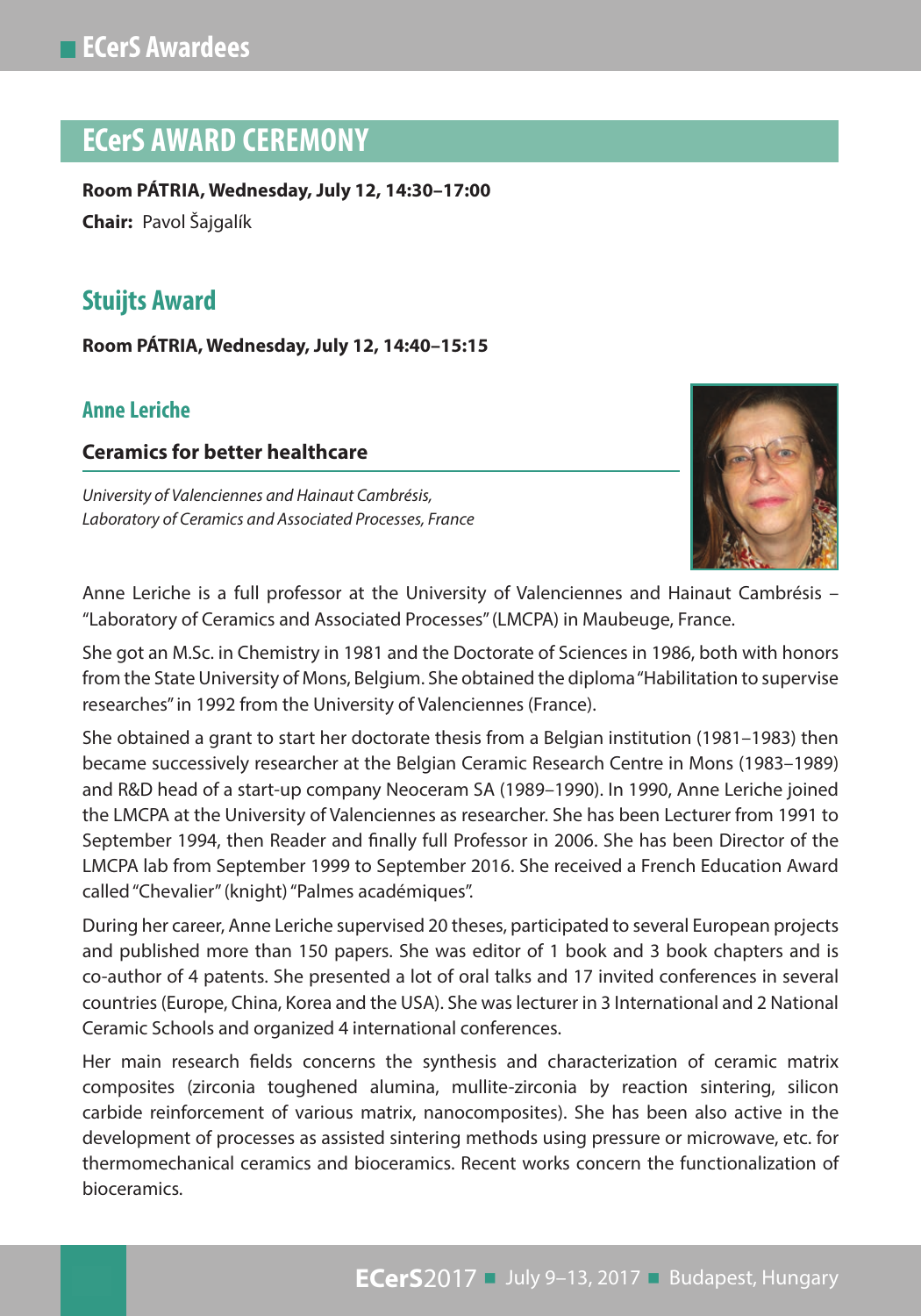# **ECerS Award Ceremony ECerS AWARD CEREMONY**

**Room PÁTRIA, Wednesday, July 12, 14:30–17:00**

**Chair:** Pavol Šajgalík

## **Stuijts Award**

**Room PÁTRIA, Wednesday, July 12, 14:40–15:15** 

#### **Anne Leriche**

#### **Ceramics for better healthcare**

*University of Valenciennes and Hainaut Cambrésis, Laboratory of Ceramics and Associated Processes, France*



Anne Leriche is a full professor at the University of Valenciennes and Hainaut Cambrésis – "Laboratory of Ceramics and Associated Processes" (LMCPA) in Maubeuge, France.

She got an M.Sc. in Chemistry in 1981 and the Doctorate of Sciences in 1986, both with honors from the State University of Mons, Belgium. She obtained the diploma "Habilitation to supervise researches" in 1992 from the University of Valenciennes (France).

She obtained a grant to start her doctorate thesis from a Belgian institution (1981–1983) then became successively researcher at the Belgian Ceramic Research Centre in Mons (1983–1989) and R&D head of a start-up company Neoceram SA (1989–1990). In 1990, Anne Leriche joined the LMCPA at the University of Valenciennes as researcher. She has been Lecturer from 1991 to September 1994, then Reader and finally full Professor in 2006. She has been Director of the LMCPA lab from September 1999 to September 2016. She received a French Education Award called "Chevalier" (knight) "Palmes académiques".

During her career, Anne Leriche supervised 20 theses, participated to several European projects and published more than 150 papers. She was editor of 1 book and 3 book chapters and is co-author of 4 patents. She presented a lot of oral talks and 17 invited conferences in several countries (Europe, China, Korea and the USA). She was lecturer in 3 International and 2 National Ceramic Schools and organized 4 international conferences.

Her main research fields concerns the synthesis and characterization of ceramic matrix composites (zirconia toughened alumina, mullite-zirconia by reaction sintering, silicon carbide reinforcement of various matrix, nanocomposites). She has been also active in the development of processes as assisted sintering methods using pressure or microwave, etc. for thermomechanical ceramics and bioceramics. Recent works concern the functionalization of bioceramics.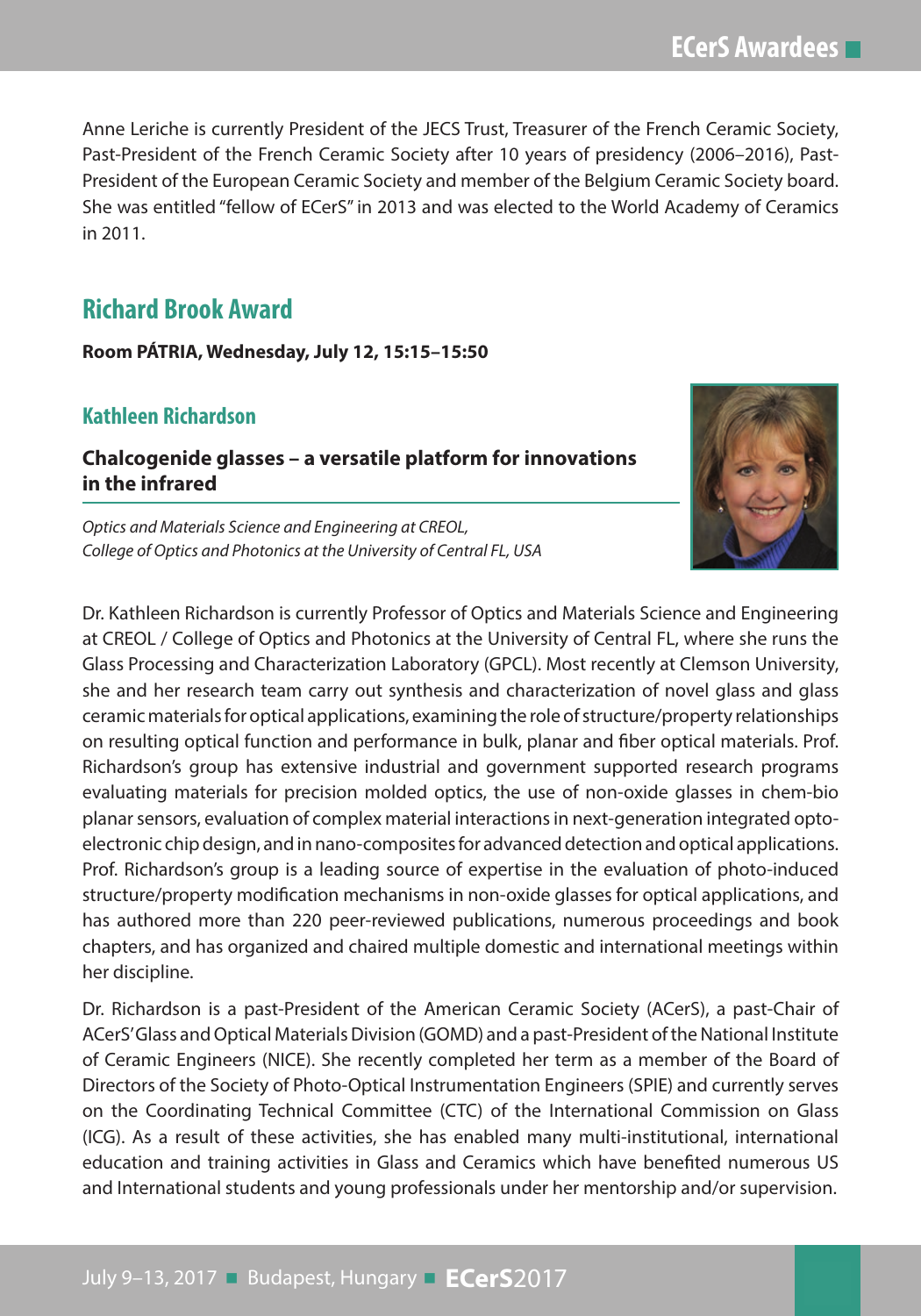Anne Leriche is currently President of the JECS Trust, Treasurer of the French Ceramic Society, Past-President of the French Ceramic Society after 10 years of presidency (2006–2016), Past-President of the European Ceramic Society and member of the Belgium Ceramic Society board. She was entitled "fellow of ECerS" in 2013 and was elected to the World Academy of Ceramics in 2011.

## **Richard Brook Award**

**Room PÁTRIA, Wednesday, July 12, 15:15–15:50** 

#### **Kathleen Richardson**

**Chalcogenide glasses – a versatile platform for innovations in the infrared**



*Optics and Materials Science and Engineering at CREOL, College of Optics and Photonics at the University of Central FL, USA*

Dr. Kathleen Richardson is currently Professor of Optics and Materials Science and Engineering at CREOL / College of Optics and Photonics at the University of Central FL, where she runs the Glass Processing and Characterization Laboratory (GPCL). Most recently at Clemson University, she and her research team carry out synthesis and characterization of novel glass and glass ceramic materials for optical applications, examining the role of structure/property relationships on resulting optical function and performance in bulk, planar and fiber optical materials. Prof. Richardson's group has extensive industrial and government supported research programs evaluating materials for precision molded optics, the use of non-oxide glasses in chem-bio planar sensors, evaluation of complex material interactions in next-generation integrated optoelectronic chip design, and in nano-composites for advanced detection and optical applications. Prof. Richardson's group is a leading source of expertise in the evaluation of photo-induced structure/property modification mechanisms in non-oxide glasses for optical applications, and has authored more than 220 peer-reviewed publications, numerous proceedings and book chapters, and has organized and chaired multiple domestic and international meetings within her discipline.

Dr. Richardson is a past-President of the American Ceramic Society (ACerS), a past-Chair of ACerS' Glass and Optical Materials Division (GOMD) and a past-President of the National Institute of Ceramic Engineers (NICE). She recently completed her term as a member of the Board of Directors of the Society of Photo-Optical Instrumentation Engineers (SPIE) and currently serves on the Coordinating Technical Committee (CTC) of the International Commission on Glass (ICG). As a result of these activities, she has enabled many multi-institutional, international education and training activities in Glass and Ceramics which have benefited numerous US and International students and young professionals under her mentorship and/or supervision.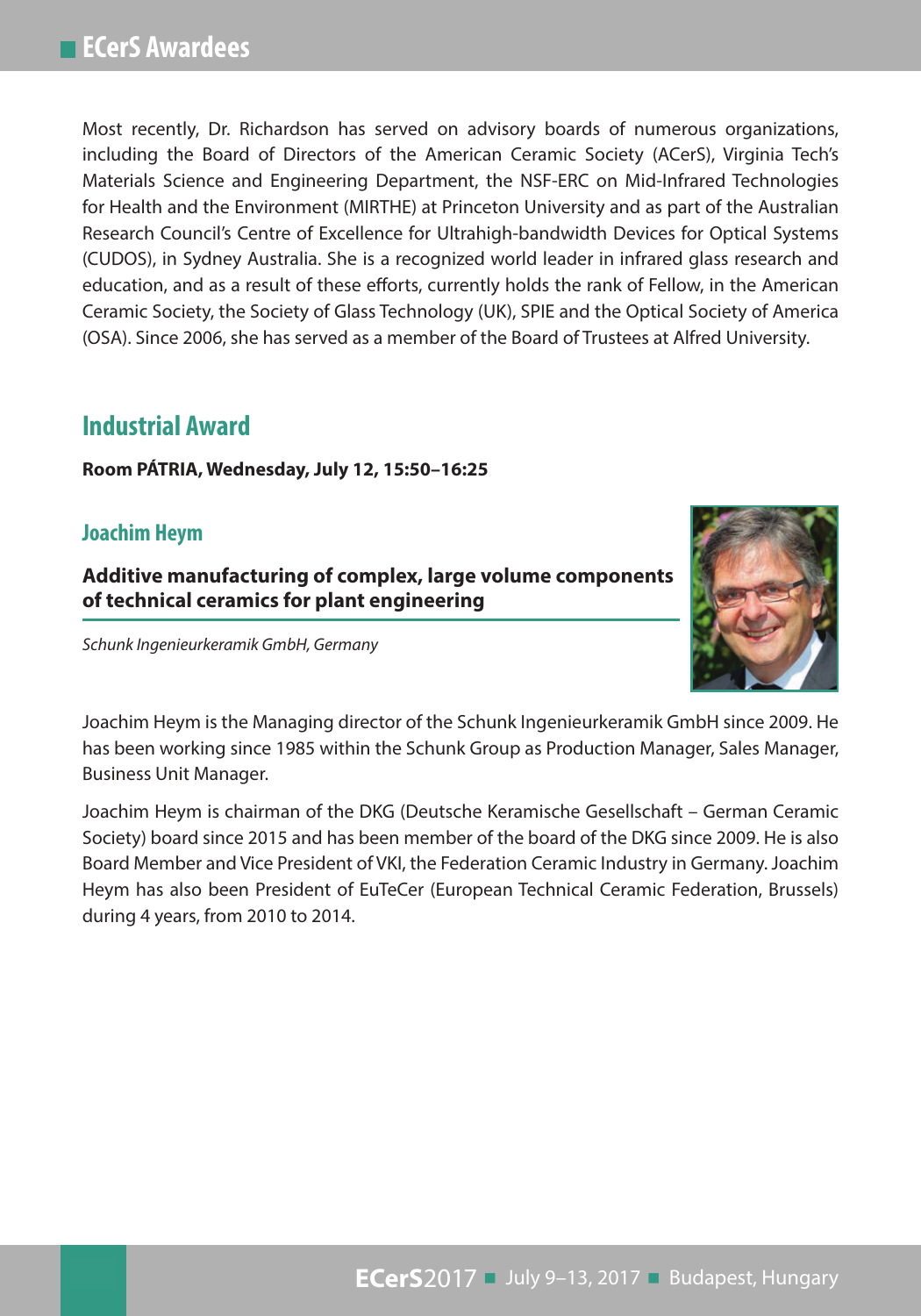Most recently, Dr. Richardson has served on advisory boards of numerous organizations, including the Board of Directors of the American Ceramic Society (ACerS), Virginia Tech's Materials Science and Engineering Department, the NSF-ERC on Mid-Infrared Technologies for Health and the Environment (MIRTHE) at Princeton University and as part of the Australian Research Council's Centre of Excellence for Ultrahigh-bandwidth Devices for Optical Systems (CUDOS), in Sydney Australia. She is a recognized world leader in infrared glass research and education, and as a result of these efforts, currently holds the rank of Fellow, in the American Ceramic Society, the Society of Glass Technology (UK), SPIE and the Optical Society of America (OSA). Since 2006, she has served as a member of the Board of Trustees at Alfred University.

### **Industrial Award**

**Room PÁTRIA, Wednesday, July 12, 15:50–16:25** 

#### **Joachim Heym**

**Additive manufacturing of complex, large volume components of technical ceramics for plant engineering**

*Schunk Ingenieurkeramik GmbH, Germany*



Joachim Heym is the Managing director of the Schunk Ingenieurkeramik GmbH since 2009. He has been working since 1985 within the Schunk Group as Production Manager, Sales Manager, Business Unit Manager.

Joachim Heym is chairman of the DKG (Deutsche Keramische Gesellschaft – German Ceramic Society) board since 2015 and has been member of the board of the DKG since 2009. He is also Board Member and Vice President of VKI, the Federation Ceramic Industry in Germany. Joachim Heym has also been President of EuTeCer (European Technical Ceramic Federation, Brussels) during 4 years, from 2010 to 2014.